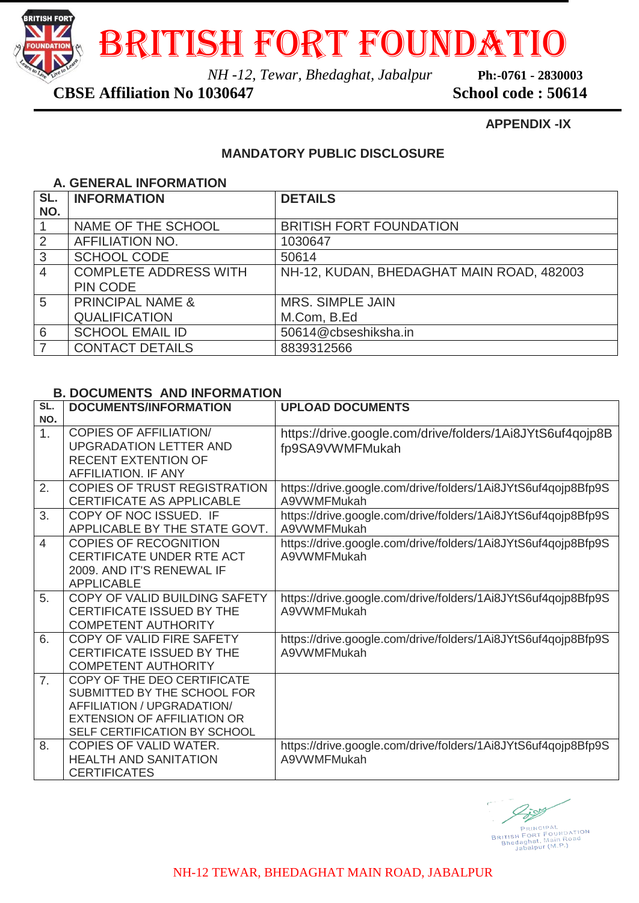

British Fort foundatio

*NH -12, Tewar, Bhedaghat, Jabalpur* **Ph:-0761 - 2830003**

# **CBSE Affiliation No 1030647 School code : 50614**

### **APPENDIX -IX**

## **MANDATORY PUBLIC DISCLOSURE**

### **A. GENERAL INFORMATION**

| SL.<br>NO.     | <b>INFORMATION</b>           | <b>DETAILS</b>                            |
|----------------|------------------------------|-------------------------------------------|
|                |                              |                                           |
|                | NAME OF THE SCHOOL           | <b>BRITISH FORT FOUNDATION</b>            |
| 2              | <b>AFFILIATION NO.</b>       | 1030647                                   |
| 3              | <b>SCHOOL CODE</b>           | 50614                                     |
| $\overline{4}$ | <b>COMPLETE ADDRESS WITH</b> | NH-12, KUDAN, BHEDAGHAT MAIN ROAD, 482003 |
|                | <b>PIN CODE</b>              |                                           |
| 5              | <b>PRINCIPAL NAME &amp;</b>  | <b>MRS. SIMPLE JAIN</b>                   |
|                | <b>QUALIFICATION</b>         | M.Com, B.Ed                               |
| 6              | <b>SCHOOL EMAIL ID</b>       | 50614@cbseshiksha.in                      |
|                | <b>CONTACT DETAILS</b>       | 8839312566                                |

### **B. DOCUMENTS AND INFORMATION**

| SL.            | <b>DOCUMENTS/INFORMATION</b>                                                                                                                                   | <b>UPLOAD DOCUMENTS</b>                                                      |  |
|----------------|----------------------------------------------------------------------------------------------------------------------------------------------------------------|------------------------------------------------------------------------------|--|
| NO.            |                                                                                                                                                                |                                                                              |  |
| 1.             | <b>COPIES OF AFFILIATION/</b><br><b>UPGRADATION LETTER AND</b><br><b>RECENT EXTENTION OF</b><br><b>AFFILIATION. IF ANY</b>                                     | https://drive.google.com/drive/folders/1Ai8JYtS6uf4qojp8B<br>fp9SA9VWMFMukah |  |
| 2.             | <b>COPIES OF TRUST REGISTRATION</b><br><b>CERTIFICATE AS APPLICABLE</b>                                                                                        | https://drive.google.com/drive/folders/1Ai8JYtS6uf4qojp8Bfp9S<br>A9VWMFMukah |  |
| 3.             | COPY OF NOC ISSUED. IF<br>APPLICABLE BY THE STATE GOVT.                                                                                                        | https://drive.google.com/drive/folders/1Ai8JYtS6uf4qojp8Bfp9S<br>A9VWMFMukah |  |
| 4              | <b>COPIES OF RECOGNITION</b><br><b>CERTIFICATE UNDER RTE ACT</b><br>2009. AND IT'S RENEWAL IF<br><b>APPLICABLE</b>                                             | https://drive.google.com/drive/folders/1Ai8JYtS6uf4qojp8Bfp9S<br>A9VWMFMukah |  |
| 5.             | COPY OF VALID BUILDING SAFETY<br><b>CERTIFICATE ISSUED BY THE</b><br><b>COMPETENT AUTHORITY</b>                                                                | https://drive.google.com/drive/folders/1Ai8JYtS6uf4qojp8Bfp9S<br>A9VWMFMukah |  |
| 6.             | COPY OF VALID FIRE SAFETY<br><b>CERTIFICATE ISSUED BY THE</b><br><b>COMPETENT AUTHORITY</b>                                                                    | https://drive.google.com/drive/folders/1Ai8JYtS6uf4qojp8Bfp9S<br>A9VWMFMukah |  |
| 7 <sub>1</sub> | COPY OF THE DEO CERTIFICATE<br>SUBMITTED BY THE SCHOOL FOR<br>AFFILIATION / UPGRADATION/<br><b>EXTENSION OF AFFILIATION OR</b><br>SELF CERTIFICATION BY SCHOOL |                                                                              |  |
| 8.             | COPIES OF VALID WATER.<br><b>HEALTH AND SANITATION</b><br><b>CERTIFICATES</b>                                                                                  | https://drive.google.com/drive/folders/1Ai8JYtS6uf4qojp8Bfp9S<br>A9VWMFMukah |  |

2509 PRINCIPAL<br>BRITISH FORT FOUNDATION<br>Bhedaghat, Main Road<br>Jabalpur (M.P.)